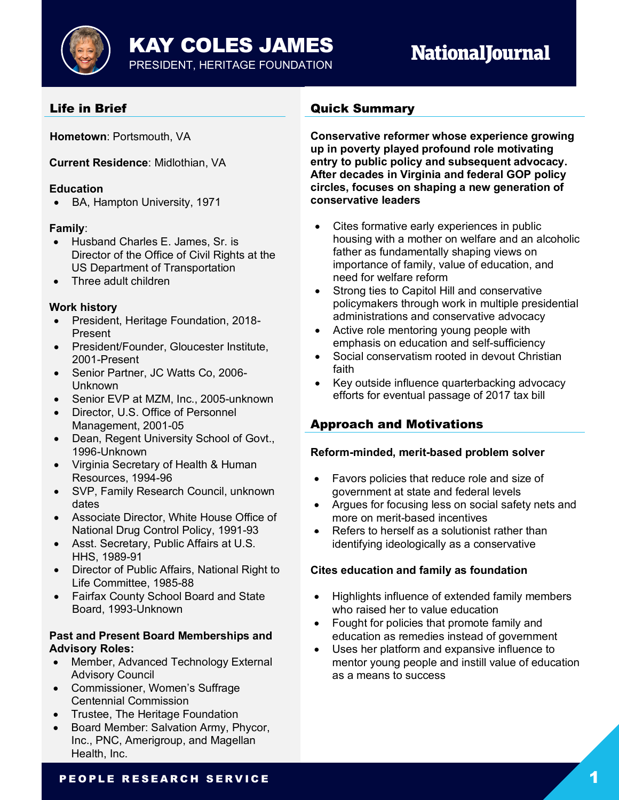KAY COLES JAMES PRESIDENT, HERITAGE FOUNDATION

# **NationalJournal**

# Life in Brief

**Hometown**: Portsmouth, VA

**Current Residence**: Midlothian, VA

## **Education**

• BA, Hampton University, 1971

## **Family**:

- Husband Charles E. James, Sr. is Director of the Office of Civil Rights at the US Department of Transportation
- Three adult children

## **Work history**

- President, Heritage Foundation, 2018- Present
- President/Founder, Gloucester Institute, 2001-Present
- Senior Partner, JC Watts Co, 2006- Unknown
- Senior EVP at MZM, Inc., 2005-unknown
- Director, U.S. Office of Personnel Management, 2001-05
- Dean, Regent University School of Govt., 1996-Unknown
- Virginia Secretary of Health & Human Resources, 1994-96
- SVP, Family Research Council, unknown dates
- Associate Director, White House Office of National Drug Control Policy, 1991-93
- Asst. Secretary, Public Affairs at U.S. HHS, 1989-91
- Director of Public Affairs, National Right to Life Committee, 1985-88
- Fairfax County School Board and State Board, 1993-Unknown

#### **Past and Present Board Memberships and Advisory Roles:**

- Member, Advanced Technology External Advisory Council
- Commissioner, Women's Suffrage Centennial Commission
- Trustee, The Heritage Foundation
- Board Member: Salvation Army, Phycor, Inc., PNC, Amerigroup, and Magellan Health, Inc.

# Quick Summary

**Conservative reformer whose experience growing up in poverty played profound role motivating entry to public policy and subsequent advocacy. After decades in Virginia and federal GOP policy circles, focuses on shaping a new generation of conservative leaders**

- Cites formative early experiences in public housing with a mother on welfare and an alcoholic father as fundamentally shaping views on importance of family, value of education, and need for welfare reform
- Strong ties to Capitol Hill and conservative policymakers through work in multiple presidential administrations and conservative advocacy
- Active role mentoring young people with emphasis on education and self-sufficiency
- Social conservatism rooted in devout Christian faith
- Key outside influence quarterbacking advocacy efforts for eventual passage of 2017 tax bill

# Approach and Motivations

## **Reform-minded, merit-based problem solver**

- Favors policies that reduce role and size of government at state and federal levels
- Argues for focusing less on social safety nets and more on merit-based incentives
- Refers to herself as a solutionist rather than identifying ideologically as a conservative

## **Cites education and family as foundation**

- Highlights influence of extended family members who raised her to value education
- Fought for policies that promote family and education as remedies instead of government
- Uses her platform and expansive influence to mentor young people and instill value of education as a means to success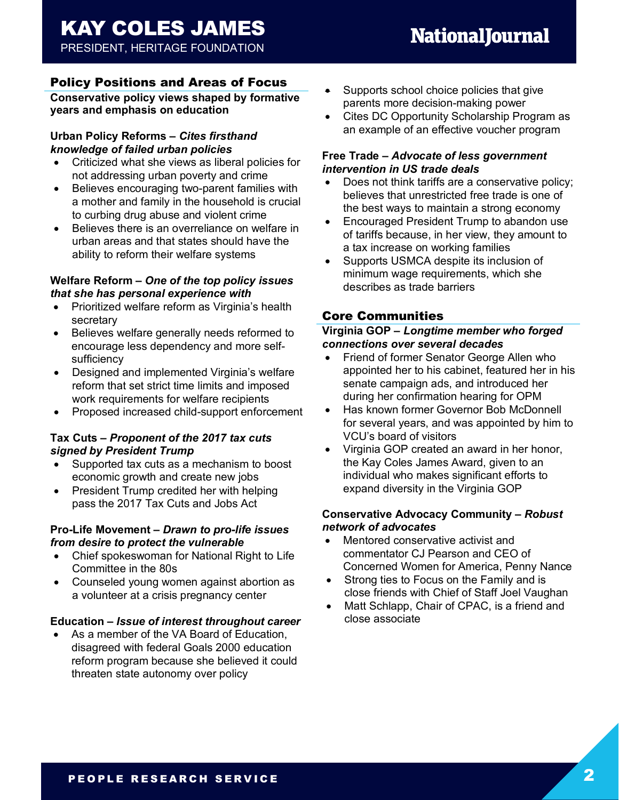## Policy Positions and Areas of Focus

**Conservative policy views shaped by formative years and emphasis on education**

#### **Urban Policy Reforms –** *Cites firsthand knowledge of failed urban policies*

- Criticized what she views as liberal policies for not addressing urban poverty and crime
- Believes encouraging two-parent families with a mother and family in the household is crucial to curbing drug abuse and violent crime
- Believes there is an overreliance on welfare in urban areas and that states should have the ability to reform their welfare systems

#### **Welfare Reform –** *One of the top policy issues that she has personal experience with*

- Prioritized welfare reform as Virginia's health secretary
- Believes welfare generally needs reformed to encourage less dependency and more selfsufficiency
- Designed and implemented Virginia's welfare reform that set strict time limits and imposed work requirements for welfare recipients
- Proposed increased child-support enforcement

#### **Tax Cuts –** *Proponent of the 2017 tax cuts signed by President Trump*

- Supported tax cuts as a mechanism to boost economic growth and create new jobs
- President Trump credited her with helping pass the 2017 Tax Cuts and Jobs Act

#### **Pro-Life Movement –** *Drawn to pro-life issues from desire to protect the vulnerable*

- Chief spokeswoman for National Right to Life Committee in the 80s
- Counseled young women against abortion as a volunteer at a crisis pregnancy center

#### **Education –** *Issue of interest throughout career*

As a member of the VA Board of Education, disagreed with federal Goals 2000 education reform program because she believed it could threaten state autonomy over policy

- Supports school choice policies that give parents more decision-making power
- Cites DC Opportunity Scholarship Program as an example of an effective voucher program

#### **Free Trade –** *Advocate of less government intervention in US trade deals*

- Does not think tariffs are a conservative policy; believes that unrestricted free trade is one of the best ways to maintain a strong economy
- Encouraged President Trump to abandon use of tariffs because, in her view, they amount to a tax increase on working families
- Supports USMCA despite its inclusion of minimum wage requirements, which she describes as trade barriers

# Core Communities

## **Virginia GOP –** *Longtime member who forged connections over several decades*

- Friend of former Senator George Allen who appointed her to his cabinet, featured her in his senate campaign ads, and introduced her during her confirmation hearing for OPM
- Has known former Governor Bob McDonnell for several years, and was appointed by him to VCU's board of visitors
- Virginia GOP created an award in her honor, the Kay Coles James Award, given to an individual who makes significant efforts to expand diversity in the Virginia GOP

#### **Conservative Advocacy Community –** *Robust network of advocates*

- Mentored conservative activist and commentator CJ Pearson and CEO of Concerned Women for America, Penny Nance
- Strong ties to Focus on the Family and is close friends with Chief of Staff Joel Vaughan
- Matt Schlapp, Chair of CPAC, is a friend and close associate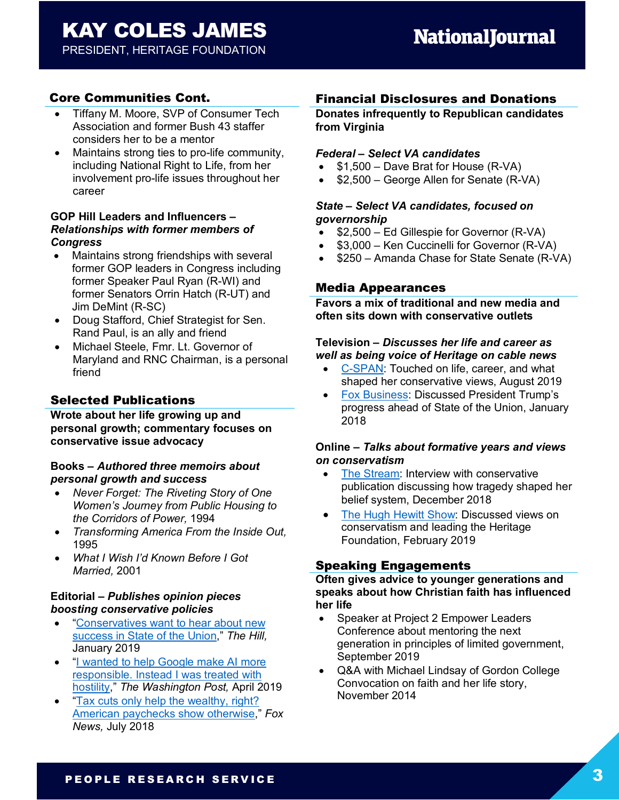# Core Communities Cont.

- Tiffany M. Moore, SVP of Consumer Tech Association and former Bush 43 staffer considers her to be a mentor
- Maintains strong ties to pro-life community, including National Right to Life, from her involvement pro-life issues throughout her career

#### **GOP Hill Leaders and Influencers –** *Relationships with former members of Congress*

- Maintains strong friendships with several former GOP leaders in Congress including former Speaker Paul Ryan (R-WI) and former Senators Orrin Hatch (R-UT) and Jim DeMint (R-SC)
- Doug Stafford, Chief Strategist for Sen. Rand Paul, is an ally and friend
- Michael Steele, Fmr. Lt. Governor of Maryland and RNC Chairman, is a personal friend

## Selected Publications

**Wrote about her life growing up and personal growth; commentary focuses on conservative issue advocacy**

#### **Books –** *Authored three memoirs about personal growth and success*

- *Never Forget: The Riveting Story of One Women's Journey from Public Housing to the Corridors of Power,* 1994
- *Transforming America From the Inside Out,*  1995
- *What I Wish I'd Known Before I Got Married,* 2001

#### **Editorial –** *Publishes opinion pieces boosting conservative policies*

- "Conservatives want to hear about new success in State of the Union," *The Hill,*  January 2019
- "I wanted to help Google make AI more responsible. Instead I was treated with hostility," *The Washington Post,* April 2019
- "Tax cuts only help the wealthy, right? American paychecks show otherwise," *Fox News,* July 2018

## Financial Disclosures and Donations

**Donates infrequently to Republican candidates from Virginia**

#### *Federal – Select VA candidates*

- \$1,500 Dave Brat for House (R-VA)
- \$2,500 George Allen for Senate (R-VA)

#### *State – Select VA candidates, focused on governorship*

- \$2,500 Ed Gillespie for Governor (R-VA)
- \$3,000 Ken Cuccinelli for Governor (R-VA)
- \$250 Amanda Chase for State Senate (R-VA)

#### Media Appearances

**Favors a mix of traditional and new media and often sits down with conservative outlets**

#### **Television –** *Discusses her life and career as well as being voice of Heritage on cable news*

- C-SPAN: Touched on life, career, and what shaped her conservative views, August 2019
- Fox Business: Discussed President Trump's progress ahead of State of the Union, January 2018

#### **Online –** *Talks about formative years and views on conservatism*

- The Stream: Interview with conservative publication discussing how tragedy shaped her belief system, December 2018
- The Hugh Hewitt Show: Discussed views on conservatism and leading the Heritage Foundation, February 2019

## Speaking Engagements

**Often gives advice to younger generations and speaks about how Christian faith has influenced her life**

- Speaker at Project 2 Empower Leaders Conference about mentoring the next generation in principles of limited government, September 2019
- Q&A with Michael Lindsay of Gordon College Convocation on faith and her life story, November 2014